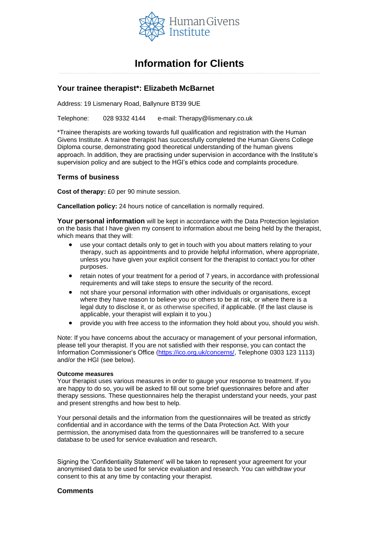

# **Information for Clients**

#### ……………………………………………………………………………………………………………………………………….

# **Your trainee therapist\*: Elizabeth McBarnet**

Address: 19 Lismenary Road, Ballynure BT39 9UE

Telephone: 028 9332 4144 e-mail: Therapy@lismenary.co.uk

\*Trainee therapists are working towards full qualification and registration with the Human Givens Institute. A trainee therapist has successfully completed the Human Givens College Diploma course, demonstrating good theoretical understanding of the human givens approach. In addition, they are practising under supervision in accordance with the Institute's supervision policy and are subject to the HGI's ethics code and complaints procedure.

# **Terms of business**

**Cost of therapy:** £0 per 90 minute session.

**Cancellation policy:** 24 hours notice of cancellation is normally required.

**Your personal information** will be kept in accordance with the Data Protection legislation on the basis that I have given my consent to information about me being held by the therapist, which means that they will:

- use your contact details only to get in touch with you about matters relating to your therapy, such as appointments and to provide helpful information, where appropriate, unless you have given your explicit consent for the therapist to contact you for other purposes.
- retain notes of your treatment for a period of 7 years, in accordance with professional requirements and will take steps to ensure the security of the record.
- not share your personal information with other individuals or organisations, except where they have reason to believe you or others to be at risk, or where there is a legal duty to disclose it, or as otherwise specified, if applicable. (If the last clause is applicable, your therapist will explain it to you.)
- provide you with free access to the information they hold about you, should you wish.

Note: If you have concerns about the accuracy or management of your personal information, please tell your therapist. If you are not satisfied with their response, you can contact the Information Commissioner's Office [\(https://ico.org.uk/concerns/,](https://ico.org.uk/concerns/) Telephone 0303 123 1113) and/or the HGI (see below).

#### **Outcome measures**

Your therapist uses various measures in order to gauge your response to treatment. If you are happy to do so, you will be asked to fill out some brief questionnaires before and after therapy sessions. These questionnaires help the therapist understand your needs, your past and present strengths and how best to help.

Your personal details and the information from the questionnaires will be treated as strictly confidential and in accordance with the terms of the Data Protection Act. With your permission, the anonymised data from the questionnaires will be transferred to a secure database to be used for service evaluation and research.

Signing the 'Confidentiality Statement' will be taken to represent your agreement for your anonymised data to be used for service evaluation and research. You can withdraw your consent to this at any time by contacting your therapist.

# **Comments**